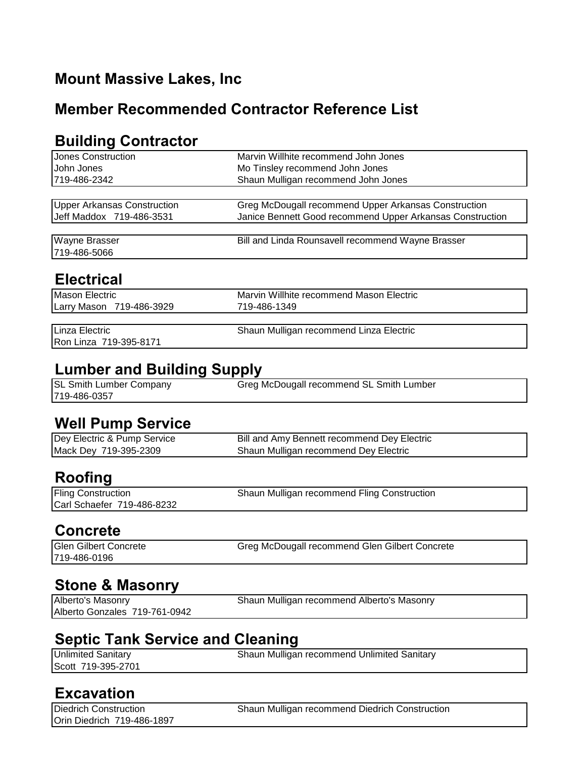## **Mount Massive Lakes, Inc**

#### **Member Recommended Contractor Reference List**

#### **Building Contractor**

| <b>Jones Construction</b>               | Marvin Willhite recommend John Jones                      |  |
|-----------------------------------------|-----------------------------------------------------------|--|
| John Jones                              | Mo Tinsley recommend John Jones                           |  |
| 719-486-2342                            | Shaun Mulligan recommend John Jones                       |  |
|                                         |                                                           |  |
| <b>Upper Arkansas Construction</b>      | Greg McDougall recommend Upper Arkansas Construction      |  |
| Jeff Maddox 719-486-3531                | Janice Bennett Good recommend Upper Arkansas Construction |  |
|                                         |                                                           |  |
| Wayne Brasser                           | Bill and Linda Rounsavell recommend Wayne Brasser         |  |
| 719-486-5066                            |                                                           |  |
|                                         |                                                           |  |
| <b>Electrical</b>                       |                                                           |  |
| <b>Mason Electric</b>                   | Marvin Willhite recommend Mason Electric                  |  |
| Larry Mason 719-486-3929                | 719-486-1349                                              |  |
|                                         |                                                           |  |
| Linza Electric                          | Shaun Mulligan recommend Linza Electric                   |  |
| Ron Linza 719-395-8171                  |                                                           |  |
|                                         |                                                           |  |
| <b>Lumber and Building Supply</b>       |                                                           |  |
| SL Smith Lumber Company                 | Greg McDougall recommend SL Smith Lumber                  |  |
| 719-486-0357                            |                                                           |  |
|                                         |                                                           |  |
| <b>Well Pump Service</b>                |                                                           |  |
| Dey Electric & Pump Service             | Bill and Amy Bennett recommend Dey Electric               |  |
| Mack Dey 719-395-2309                   | Shaun Mulligan recommend Dey Electric                     |  |
|                                         |                                                           |  |
| <b>Roofing</b>                          |                                                           |  |
| <b>Fling Construction</b>               | Shaun Mulligan recommend Fling Construction               |  |
| Carl Schaefer 719-486-8232              |                                                           |  |
|                                         |                                                           |  |
| <b>Concrete</b>                         |                                                           |  |
|                                         |                                                           |  |
| <b>Glen Gilbert Concrete</b>            | Greg McDougall recommend Glen Gilbert Concrete            |  |
| 719-486-0196                            |                                                           |  |
|                                         |                                                           |  |
| <b>Stone &amp; Masonry</b>              |                                                           |  |
| Alberto's Masonry                       | Shaun Mulligan recommend Alberto's Masonry                |  |
| Alberto Gonzales 719-761-0942           |                                                           |  |
|                                         |                                                           |  |
| <b>Septic Tank Service and Cleaning</b> |                                                           |  |
| <b>Unlimited Sanitary</b>               | Shaun Mulligan recommend Unlimited Sanitary               |  |
| Scott 719-395-2701                      |                                                           |  |

#### **Excavation**

Orin Diedrich 719-486-1897

Diedrich Construction Shaun Mulligan recommend Diedrich Construction